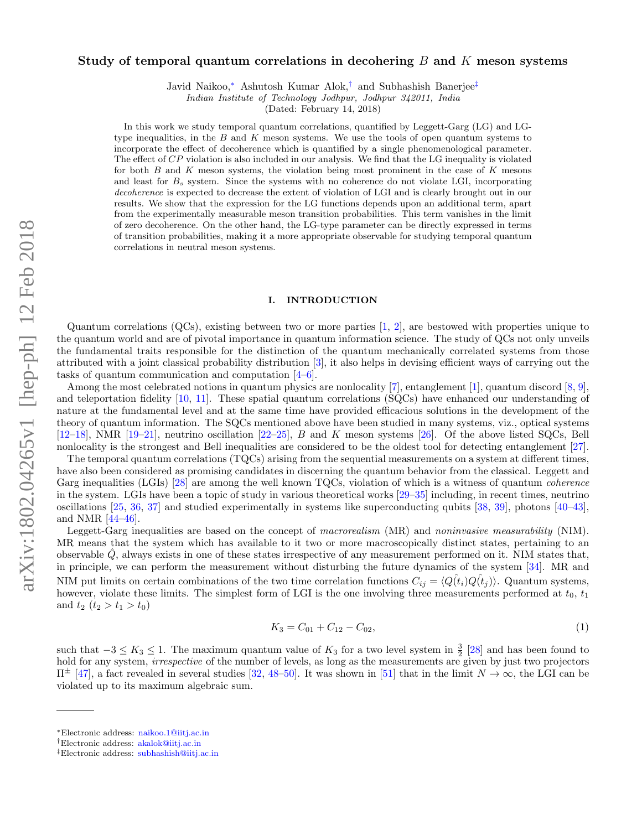# Study of temporal quantum correlations in decohering  $B$  and  $K$  meson systems

Javid Naikoo,<sup>∗</sup> Ashutosh Kumar Alok,† and Subhashish Banerjee‡

Indian Institute of Technology Jodhpur, Jodhpur 342011, India

(Dated: February 14, 2018)

In this work we study temporal quantum correlations, quantified by Leggett-Garg (LG) and LGtype inequalities, in the  $B$  and  $K$  meson systems. We use the tools of open quantum systems to incorporate the effect of decoherence which is quantified by a single phenomenological parameter. The effect of CP violation is also included in our analysis. We find that the LG inequality is violated for both  $B$  and  $K$  meson systems, the violation being most prominent in the case of  $K$  mesons and least for  $B_s$  system. Since the systems with no coherence do not violate LGI, incorporating decoherence is expected to decrease the extent of violation of LGI and is clearly brought out in our results. We show that the expression for the LG functions depends upon an additional term, apart from the experimentally measurable meson transition probabilities. This term vanishes in the limit of zero decoherence. On the other hand, the LG-type parameter can be directly expressed in terms of transition probabilities, making it a more appropriate observable for studying temporal quantum correlations in neutral meson systems.

## I. INTRODUCTION

Quantum correlations (QCs), existing between two or more parties [1, 2], are bestowed with properties unique to the quantum world and are of pivotal importance in quantum information science. The study of QCs not only unveils the fundamental traits responsible for the distinction of the quantum mechanically correlated systems from those attributed with a joint classical probability distribution [3], it also helps in devising efficient ways of carrying out the tasks of quantum communication and computation [4–6].

Among the most celebrated notions in quantum physics are nonlocality [7], entanglement [1], quantum discord  $[8, 9]$ , and teleportation fidelity [10, 11]. These spatial quantum correlations (SQCs) have enhanced our understanding of nature at the fundamental level and at the same time have provided efficacious solutions in the development of the theory of quantum information. The SQCs mentioned above have been studied in many systems, viz., optical systems  $[12–18]$ , NMR  $[19–21]$ , neutrino oscillation  $[22–25]$ , B and K meson systems [26]. Of the above listed SQCs, Bell nonlocality is the strongest and Bell inequalities are considered to be the oldest tool for detecting entanglement [27].

The temporal quantum correlations (TQCs) arising from the sequential measurements on a system at different times, have also been considered as promising candidates in discerning the quantum behavior from the classical. Leggett and Garg inequalities (LGIs) [28] are among the well known TQCs, violation of which is a witness of quantum *coherence* in the system. LGIs have been a topic of study in various theoretical works [29–35] including, in recent times, neutrino oscillations [25, 36, 37] and studied experimentally in systems like superconducting qubits [38, 39], photons [40–43], and NMR [44–46].

Leggett-Garg inequalities are based on the concept of macrorealism (MR) and noninvasive measurability (NIM). MR means that the system which has available to it two or more macroscopically distinct states, pertaining to an observable  $Q$ , always exists in one of these states irrespective of any measurement performed on it. NIM states that, in principle, we can perform the measurement without disturbing the future dynamics of the system [34]. MR and NIM put limits on certain combinations of the two time correlation functions  $C_{ij} = \langle Q(t_i)Q(t_j) \rangle$ . Quantum systems, however, violate these limits. The simplest form of LGI is the one involving three measurements performed at  $t_0$ ,  $t_1$ and  $t_2$   $(t_2 > t_1 > t_0)$ 

$$
K_3 = C_{01} + C_{12} - C_{02},\tag{1}
$$

such that  $-3 \leq K_3 \leq 1$ . The maximum quantum value of  $K_3$  for a two level system in  $\frac{3}{2}$  [28] and has been found to hold for any system, irrespective of the number of levels, as long as the measurements are given by just two projectors  $\Pi^{\pm}$  [47], a fact revealed in several studies [32, 48–50]. It was shown in [51] that in the limit  $N \to \infty$ , the LGI can be violated up to its maximum algebraic sum.

<sup>∗</sup>Electronic address: naikoo.1@iitj.ac.in

<sup>†</sup>Electronic address: akalok@iitj.ac.in

<sup>‡</sup>Electronic address: subhashish@iitj.ac.in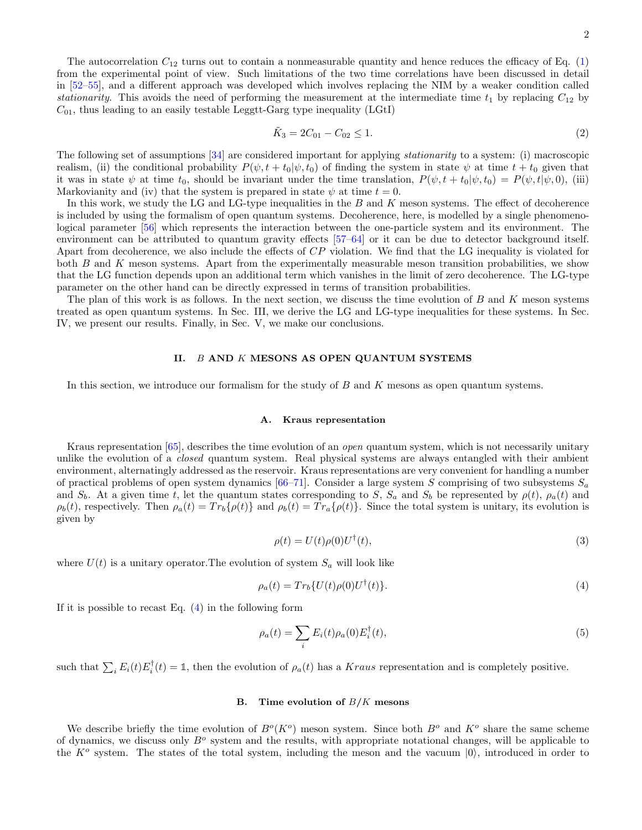The autocorrelation  $C_{12}$  turns out to contain a nonmeasurable quantity and hence reduces the efficacy of Eq. (1) from the experimental point of view. Such limitations of the two time correlations have been discussed in detail in [52–55], and a different approach was developed which involves replacing the NIM by a weaker condition called stationarity. This avoids the need of performing the measurement at the intermediate time  $t_1$  by replacing  $C_{12}$  by  $C_{01}$ , thus leading to an easily testable Leggtt-Garg type inequality (LGtI)

$$
\tilde{K}_3 = 2C_{01} - C_{02} \le 1. \tag{2}
$$

The following set of assumptions [34] are considered important for applying stationarity to a system: (i) macroscopic realism, (ii) the conditional probability  $P(\psi, t + t_0 | \psi, t_0)$  of finding the system in state  $\psi$  at time  $t + t_0$  given that it was in state  $\psi$  at time  $t_0$ , should be invariant under the time translation,  $P(\psi, t + t_0 | \psi, t_0) = P(\psi, t | \psi, 0)$ , (iii) Markovianity and (iv) that the system is prepared in state  $\psi$  at time  $t = 0$ .

In this work, we study the LG and LG-type inequalities in the B and K meson systems. The effect of decoherence is included by using the formalism of open quantum systems. Decoherence, here, is modelled by a single phenomenological parameter [56] which represents the interaction between the one-particle system and its environment. The environment can be attributed to quantum gravity effects [57–64] or it can be due to detector background itself. Apart from decoherence, we also include the effects of  $CP$  violation. We find that the LG inequality is violated for both B and K meson systems. Apart from the experimentally measurable meson transition probabilities, we show that the LG function depends upon an additional term which vanishes in the limit of zero decoherence. The LG-type parameter on the other hand can be directly expressed in terms of transition probabilities.

The plan of this work is as follows. In the next section, we discuss the time evolution of  $B$  and  $K$  meson systems treated as open quantum systems. In Sec. III, we derive the LG and LG-type inequalities for these systems. In Sec. IV, we present our results. Finally, in Sec. V, we make our conclusions.

## II. B AND K MESONS AS OPEN QUANTUM SYSTEMS

In this section, we introduce our formalism for the study of B and K mesons as open quantum systems.

#### A. Kraus representation

Kraus representation [65], describes the time evolution of an *open* quantum system, which is not necessarily unitary unlike the evolution of a closed quantum system. Real physical systems are always entangled with their ambient environment, alternatingly addressed as the reservoir. Kraus representations are very convenient for handling a number of practical problems of open system dynamics  $[66–71]$ . Consider a large system S comprising of two subsystems  $S_a$ and  $S_b$ . At a given time t, let the quantum states corresponding to S,  $S_a$  and  $S_b$  be represented by  $\rho(t)$ ,  $\rho_a(t)$  and  $\rho_b(t)$ , respectively. Then  $\rho_a(t) = Tr_b\{\rho(t)\}\$  and  $\rho_b(t) = Tr_a\{\rho(t)\}\$ . Since the total system is unitary, its evolution is given by

$$
\rho(t) = U(t)\rho(0)U^{\dagger}(t),\tag{3}
$$

where  $U(t)$  is a unitary operator. The evolution of system  $S_a$  will look like

$$
\rho_a(t) = Tr_b\{U(t)\rho(0)U^{\dagger}(t)\}.
$$
\n(4)

If it is possible to recast Eq.  $(4)$  in the following form

$$
\rho_a(t) = \sum_i E_i(t)\rho_a(0)E_i^{\dagger}(t),\tag{5}
$$

such that  $\sum_i E_i(t) E_i^{\dagger}(t) = \mathbb{1}$ , then the evolution of  $\rho_a(t)$  has a Kraus representation and is completely positive.

## B. Time evolution of  $B/K$  mesons

We describe briefly the time evolution of  $B^o(K^o)$  meson system. Since both  $B^o$  and  $K^o$  share the same scheme of dynamics, we discuss only  $B<sup>o</sup>$  system and the results, with appropriate notational changes, will be applicable to the  $K^o$  system. The states of the total system, including the meson and the vacuum  $|0\rangle$ , introduced in order to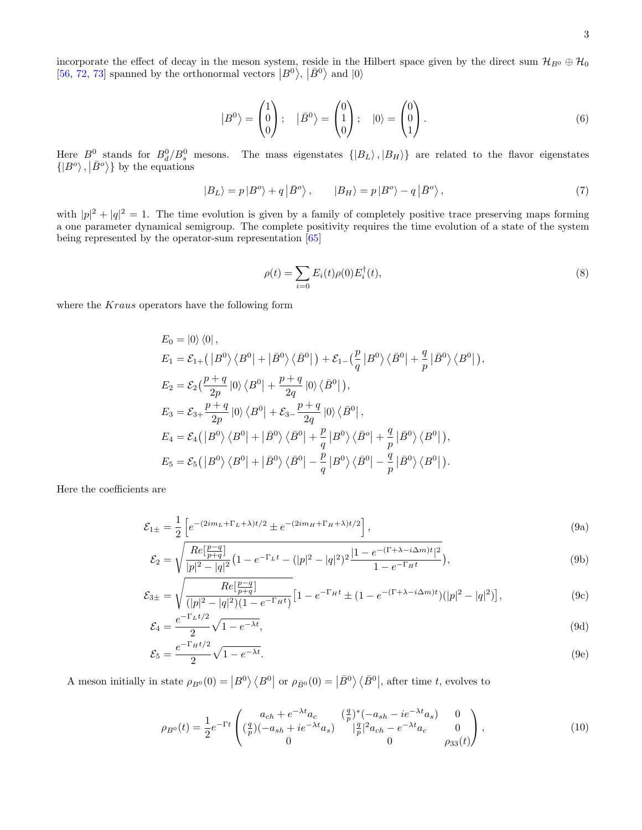incorporate the effect of decay in the meson system, reside in the Hilbert space given by the direct sum  $\mathcal{H}_{B^0} \oplus \mathcal{H}_0$ [56, 72, 73] spanned by the orthonormal vectors  $|B^0\rangle$ ,  $|\bar{B}^0\rangle$  and  $|0\rangle$ 

$$
\left|B^{0}\right\rangle = \begin{pmatrix} 1\\0\\0 \end{pmatrix}; \quad \left|\bar{B}^{0}\right\rangle = \begin{pmatrix} 0\\1\\0 \end{pmatrix}; \quad \left|0\right\rangle = \begin{pmatrix} 0\\0\\1 \end{pmatrix}.
$$
 (6)

Here  $B^0$  stands for  $B_d^0/B_s^0$  mesons. The mass eigenstates  $\{|B_L\rangle, |B_H\rangle\}$  are related to the flavor eigenstates  $\langle |B^o \rangle, |\bar{B}^o \rangle$  by the equations

$$
|B_L\rangle = p|B^o\rangle + q|\bar{B}^o\rangle, \qquad |B_H\rangle = p|B^o\rangle - q|\bar{B}^o\rangle, \qquad (7)
$$

with  $|p|^2 + |q|^2 = 1$ . The time evolution is given by a family of completely positive trace preserving maps forming a one parameter dynamical semigroup. The complete positivity requires the time evolution of a state of the system being represented by the operator-sum representation [65]

$$
\rho(t) = \sum_{i=0} E_i(t)\rho(0)E_i^{\dagger}(t),
$$
\n(8)

where the Kraus operators have the following form

$$
E_0 = |0\rangle\langle 0|,
$$
  
\n
$$
E_1 = \mathcal{E}_{1+}(|B^0\rangle\langle B^0| + |\bar{B}^0\rangle\langle \bar{B}^0|) + \mathcal{E}_{1-}(\frac{p}{q}|B^0\rangle\langle \bar{B}^0| + \frac{q}{p}|\bar{B}^0\rangle\langle B^0|),
$$
  
\n
$$
E_2 = \mathcal{E}_2(\frac{p+q}{2p}|0\rangle\langle B^0| + \frac{p+q}{2q}|0\rangle\langle \bar{B}^0|),
$$
  
\n
$$
E_3 = \mathcal{E}_{3+} \frac{p+q}{2p}|0\rangle\langle B^0| + \mathcal{E}_{3-} \frac{p+q}{2q}|0\rangle\langle \bar{B}^0|,
$$
  
\n
$$
E_4 = \mathcal{E}_4(|B^0\rangle\langle B^0| + |\bar{B}^0\rangle\langle \bar{B}^0| + \frac{p}{q}|B^0\rangle\langle \bar{B}^o| + \frac{q}{p}|\bar{B}^0\rangle\langle B^0|),
$$
  
\n
$$
E_5 = \mathcal{E}_5(|B^0\rangle\langle B^0| + |\bar{B}^0\rangle\langle \bar{B}^0| - \frac{p}{q}|B^0\rangle\langle \bar{B}^0| - \frac{q}{p}|\bar{B}^0\rangle\langle B^0|).
$$

Here the coefficients are

$$
\mathcal{E}_{1\pm} = \frac{1}{2} \left[ e^{-(2im_L + \Gamma_L + \lambda)t/2} \pm e^{-(2im_H + \Gamma_H + \lambda)t/2} \right],\tag{9a}
$$

$$
\mathcal{E}_2 = \sqrt{\frac{Re[\frac{p-q}{p+q}]}{|p|^2 - |q|^2} \left(1 - e^{-\Gamma_L t} - (|p|^2 - |q|^2)^2 \frac{|1 - e^{-(\Gamma + \lambda - i\Delta m)t}|^2}{1 - e^{-\Gamma_H t}}\right)},\tag{9b}
$$

$$
\mathcal{E}_{3\pm} = \sqrt{\frac{Re[\frac{p-q}{p+q}]}{(|p|^2 - |q|^2)(1 - e^{-\Gamma_H t})}} \Big[ 1 - e^{-\Gamma_H t} \pm (1 - e^{-(\Gamma + \lambda - i\Delta_m)t}) (|p|^2 - |q|^2) \Big],\tag{9c}
$$

$$
\mathcal{E}_4 = \frac{e^{-\Gamma_L t/2}}{2} \sqrt{1 - e^{-\lambda t}},\tag{9d}
$$

$$
\mathcal{E}_5 = \frac{e^{-\Gamma_H t/2}}{2} \sqrt{1 - e^{-\lambda t}}.\tag{9e}
$$

A meson initially in state  $\rho_{B^0}(0) = |B^0\rangle \langle B^0|$  or  $\rho_{\bar{B}^0}(0) = |B^0\rangle \langle \bar{B}^0|$ , after time t, evolves to

$$
\rho_{B^0}(t) = \frac{1}{2} e^{-\Gamma t} \begin{pmatrix} a_{ch} + e^{-\lambda t} a_c & (\frac{q}{p})^*(-a_{sh} - ie^{-\lambda t} a_s) & 0\\ (\frac{q}{p})(-a_{sh} + ie^{-\lambda t} a_s) & |\frac{q}{p}|^2 a_{ch} - e^{-\lambda t} a_c & 0\\ 0 & 0 & \rho_{33}(t) \end{pmatrix},
$$
(10)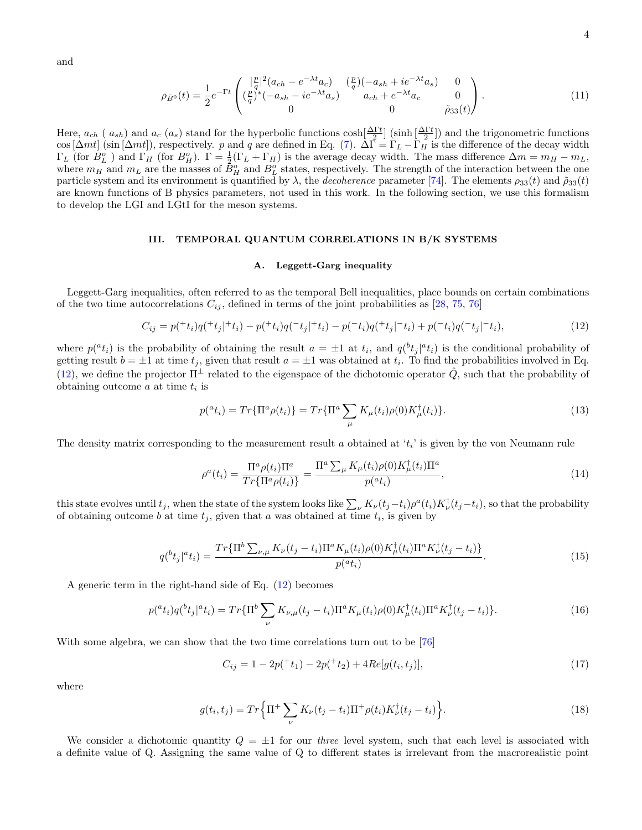and

$$
\rho_{\bar{B}^0}(t) = \frac{1}{2} e^{-\Gamma t} \begin{pmatrix} |\frac{p}{q}|^2 (a_{ch} - e^{-\lambda t} a_c) & (\frac{p}{q})(-a_{sh} + ie^{-\lambda t} a_s) & 0\\ (\frac{p}{q})^*(-a_{sh} - ie^{-\lambda t} a_s) & a_{ch} + e^{-\lambda t} a_c & 0\\ 0 & 0 & \tilde{\rho}_{33}(t) \end{pmatrix} . \tag{11}
$$

Here,  $a_{ch}$  (  $a_{sh}$ ) and  $a_c$  ( $a_s$ ) stand for the hyperbolic functions  $\cosh\left(\frac{\Delta\Gamma t}{2}\right)$  (sinh  $\left(\frac{\Delta\Gamma t}{2}\right)$ ) and the trigonometric functions cos  $[\Delta mt]$  (sin  $[\Delta mt]$ ), respectively. p and q are defined in Eq. (7).  $\Delta \vec{\Gamma} = \Gamma_L - \Gamma_H$  is the difference of the decay width  $\Gamma_L$  (for  $B^o_L$ ) and  $\Gamma_H$  (for  $B^o_H$ ).  $\Gamma = \frac{1}{2}(\Gamma_L + \Gamma_H)$  is the average decay width. The mass difference  $\Delta m = m_H - m_L$ , where  $m_H$  and  $m_L$  are the masses of  $\bar{B}_H^o$  and  $B_L^o$  states, respectively. The strength of the interaction between the one particle system and its environment is quantified by  $\lambda$ , the *decoherence* parameter [74]. The elements  $\rho_{33}(t)$  and  $\tilde{\rho}_{33}(t)$ are known functions of B physics parameters, not used in this work. In the following section, we use this formalism to develop the LGI and LGtI for the meson systems.

#### III. TEMPORAL QUANTUM CORRELATIONS IN B/K SYSTEMS

#### A. Leggett-Garg inequality

Leggett-Garg inequalities, often referred to as the temporal Bell inequalities, place bounds on certain combinations of the two time autocorrelations  $C_{ij}$ , defined in terms of the joint probabilities as [28, 75, 76]

$$
C_{ij} = p(^{+}t_{i})q(^{+}t_{j}|^{+}t_{i}) - p(^{+}t_{i})q(^{-}t_{j}|^{+}t_{i}) - p(^{-}t_{i})q(^{+}t_{j}|^{-}t_{i}) + p(^{-}t_{i})q(^{-}t_{j}|^{-}t_{i}), \qquad (12)
$$

where  $p({}^at_i)$  is the probability of obtaining the result  $a = \pm 1$  at  $t_i$ , and  $q({}^bt_j|{}^at_i)$  is the conditional probability of getting result  $b = \pm 1$  at time  $t_j$ , given that result  $a = \pm 1$  was obtained at  $t_i$ . To find the probabilities involved in Eq. (12), we define the projector  $\Pi^{\pm}$  related to the eigenspace of the dichotomic operator  $\hat{Q}$ , such that the probability of obtaining outcome  $a$  at time  $t_i$  is

$$
p({}^{a}t_{i}) = Tr{\Pi^{a}\rho(t_{i})} = Tr{\Pi^{a}\sum_{\mu}K_{\mu}(t_{i})\rho(0)K_{\mu}^{\dagger}(t_{i})}.
$$
\n(13)

The density matrix corresponding to the measurement result a obtained at  $t_i$  is given by the von Neumann rule

$$
\rho^{a}(t_i) = \frac{\Pi^{a}\rho(t_i)\Pi^{a}}{Tr\{\Pi^{a}\rho(t_i)\}} = \frac{\Pi^{a}\sum_{\mu}K_{\mu}(t_i)\rho(0)K_{\mu}^{\dagger}(t_i)\Pi^{a}}{p({}^{a}t_i)},
$$
\n(14)

this state evolves until  $t_j$ , when the state of the system looks like  $\sum_{\nu} K_{\nu}(t_j-t_i)\rho^a(t_i)K_{\nu}^{\dagger}(t_j-t_i)$ , so that the probability of obtaining outcome b at time  $t_j$ , given that a was obtained at time  $t_i$ , is given by

$$
q(^{b}t_{j}|^{a}t_{i}) = \frac{Tr\{\Pi^{b}\sum_{\nu,\mu}K_{\nu}(t_{j}-t_{i})\Pi^{a}K_{\mu}(t_{i})\rho(0)K_{\mu}^{\dagger}(t_{i})\Pi^{a}K_{\nu}^{\dagger}(t_{j}-t_{i})\}}{p(^{a}t_{i})}.
$$
\n(15)

A generic term in the right-hand side of Eq. (12) becomes

$$
p({}^{a}t_{i})q({}^{b}t_{j}|{}^{a}t_{i}) = Tr\{\Pi^{b}\sum_{\nu}K_{\nu,\mu}(t_{j}-t_{i})\Pi^{a}K_{\mu}(t_{i})\rho(0)K_{\mu}^{\dagger}(t_{i})\Pi^{a}K_{\nu}^{\dagger}(t_{j}-t_{i})\}.
$$
 (16)

With some algebra, we can show that the two time correlations turn out to be [76]

$$
C_{ij} = 1 - 2p(t1) - 2p(t2) + 4Re[g(ti, tj)],
$$
\n(17)

where

$$
g(t_i, t_j) = Tr\left\{\Pi^+\sum_{\nu} K_{\nu}(t_j - t_i)\Pi^+\rho(t_i)K_{\nu}^{\dagger}(t_j - t_i)\right\}.
$$
\n(18)

We consider a dichotomic quantity  $Q = \pm 1$  for our *three* level system, such that each level is associated with a definite value of Q. Assigning the same value of Q to different states is irrelevant from the macrorealistic point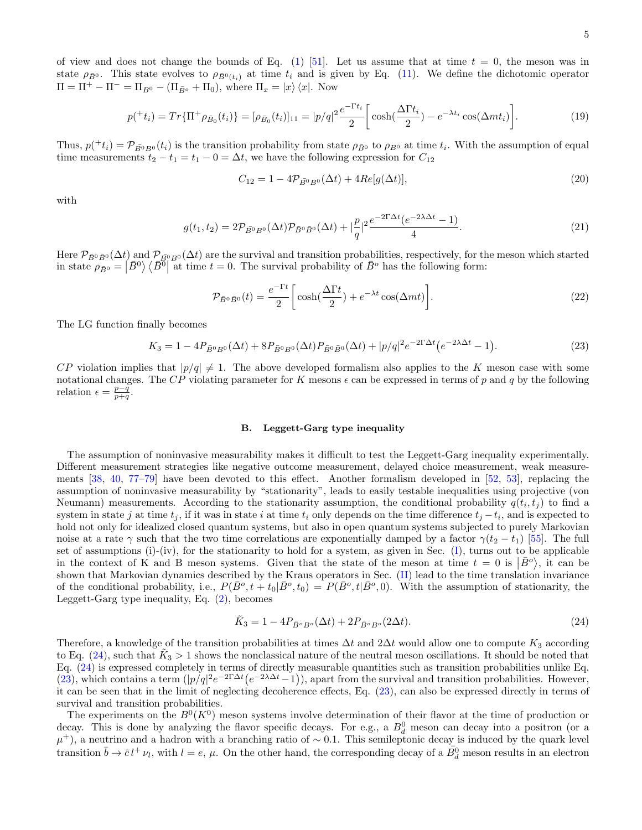of view and does not change the bounds of Eq. (1) [51]. Let us assume that at time  $t = 0$ , the meson was in state  $\rho_{\bar{B}0}$ . This state evolves to  $\rho_{\bar{B}0(t_i)}$  at time  $t_i$  and is given by Eq. (11). We define the dichotomic operator  $\Pi = \Pi^+ - \Pi^- = \Pi_{B^0} - (\Pi_{\bar{B}^o} + \Pi_0)$ , where  $\Pi_x = |x\rangle \langle x|$ . Now

$$
p(^{+}t_{i}) = Tr{\{\Pi^{+}\rho_{\bar{B}_{0}}(t_{i})\}} = [\rho_{\bar{B}_{0}}(t_{i})]_{11} = |p/q|^{2} \frac{e^{-\Gamma t_{i}}}{2} \bigg[ \cosh(\frac{\Delta \Gamma t_{i}}{2}) - e^{-\lambda t_{i}} \cos(\Delta mt_{i}) \bigg]. \tag{19}
$$

Thus,  $p(t_i) = \mathcal{P}_{\bar{B}^0B^0}(t_i)$  is the transition probability from state  $\rho_{\bar{B}^0}$  to  $\rho_{B^0}$  at time  $t_i$ . With the assumption of equal time measurements  $t_2 - t_1 = t_1 - 0 = \Delta t$ , we have the following expression for  $C_{12}$ 

$$
C_{12} = 1 - 4\mathcal{P}_{\bar{B}^0 B^0}(\Delta t) + 4Re[g(\Delta t)],\tag{20}
$$

with

$$
g(t_1, t_2) = 2\mathcal{P}_{\bar{B}^0 B^0}(\Delta t)\mathcal{P}_{\bar{B}^0 \bar{B}^0}(\Delta t) + |\frac{p}{q}|^2 \frac{e^{-2\Gamma \Delta t} (e^{-2\lambda \Delta t} - 1)}{4}.
$$
\n(21)

Here  $\mathcal{P}_{\bar{B}^0\bar{B}^0}(\Delta t)$  and  $\mathcal{P}_{\bar{B}^0B^0}(\Delta t)$  are the survival and transition probabilities, respectively, for the meson which started in state  $\rho_{\bar{B}^0} = |\bar{B}^0\rangle \langle \bar{B}^0|$  at time  $t = 0$ . The survival probability of  $\bar{B}^o$  has the following form:

$$
\mathcal{P}_{\bar{B}^0\bar{B}^0}(t) = \frac{e^{-\Gamma t}}{2} \left[ \cosh(\frac{\Delta \Gamma t}{2}) + e^{-\lambda t} \cos(\Delta mt) \right]. \tag{22}
$$

The LG function finally becomes

$$
K_3 = 1 - 4P_{\bar{B}^0 B^0}(\Delta t) + 8P_{\bar{B}^0 B^0}(\Delta t)P_{\bar{B}^0 \bar{B}^0}(\Delta t) + |p/q|^2 e^{-2\Gamma \Delta t} (e^{-2\lambda \Delta t} - 1).
$$
\n(23)

 $CP$  violation implies that  $|p/q| \neq 1$ . The above developed formalism also applies to the K meson case with some notational changes. The CP violating parameter for K mesons  $\epsilon$  can be expressed in terms of p and q by the following relation  $\epsilon = \frac{p-q}{p+q}$ .

#### B. Leggett-Garg type inequality

The assumption of noninvasive measurability makes it difficult to test the Leggett-Garg inequality experimentally. Different measurement strategies like negative outcome measurement, delayed choice measurement, weak measurements [38, 40, 77–79] have been devoted to this effect. Another formalism developed in [52, 53], replacing the assumption of noninvasive measurability by "stationarity", leads to easily testable inequalities using projective (von Neumann) measurements. According to the stationarity assumption, the conditional probability  $q(t_i, t_j)$  to find a system in state j at time  $t_j$ , if it was in state i at time  $t_i$  only depends on the time difference  $t_j - t_i$ , and is expected to hold not only for idealized closed quantum systems, but also in open quantum systems subjected to purely Markovian noise at a rate  $\gamma$  such that the two time correlations are exponentially damped by a factor  $\gamma(t_2 - t_1)$  [55]. The full set of assumptions (i)-(iv), for the stationarity to hold for a system, as given in Sec. (I), turns out to be applicable in the context of K and B meson systems. Given that the state of the meson at time  $t = 0$  is  $|\bar{B}^o\rangle$ , it can be shown that Markovian dynamics described by the Kraus operators in Sec. (II) lead to the time translation invariance of the conditional probability, i.e.,  $P(\bar{B}^o, t + t_0 | \bar{B}^o, t_0) = P(\bar{B}^o, t | \bar{B}^o, 0)$ . With the assumption of stationarity, the Leggett-Garg type inequality, Eq. (2), becomes

$$
\tilde{K}_3 = 1 - 4P_{\bar{B}^o B^o}(\Delta t) + 2P_{\bar{B}^o B^o}(2\Delta t). \tag{24}
$$

Therefore, a knowledge of the transition probabilities at times  $\Delta t$  and  $2\Delta t$  would allow one to compute  $K_3$  according to Eq. (24), such that  $K_3 > 1$  shows the nonclassical nature of the neutral meson oscillations. It should be noted that Eq. (24) is expressed completely in terms of directly measurable quantities such as transition probabilities unlike Eq. (23), which contains a term  $(|p/q|^2e^{-2\Gamma\Delta t}(e^{-2\Delta t}-1))$ , apart from the survival and transition probabilities. However, it can be seen that in the limit of neglecting decoherence effects, Eq. (23), can also be expressed directly in terms of survival and transition probabilities.

The experiments on the  $B^0(K^0)$  meson systems involve determination of their flavor at the time of production or decay. This is done by analyzing the flavor specific decays. For e.g., a  $B_d^0$  meson can decay into a positron (or a  $\mu^+$ ), a neutrino and a hadron with a branching ratio of ~0.1. This semileptonic decay is induced by the quark level transition  $\bar{b} \to \bar{c} l^+ \nu_l$ , with  $l = e, \mu$ . On the other hand, the corresponding decay of a  $\bar{B}_d^0$  meson results in an electron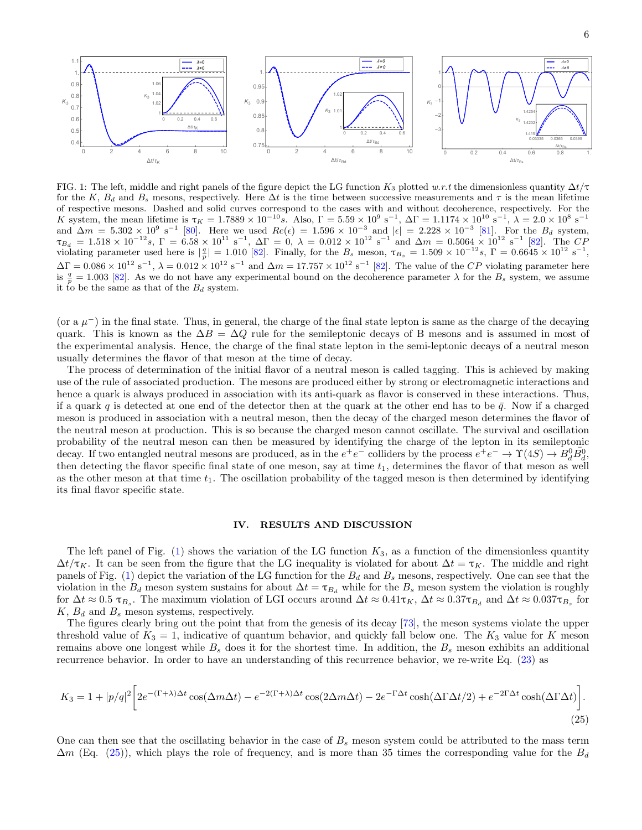

FIG. 1: The left, middle and right panels of the figure depict the LG function  $K_3$  plotted w.r.t the dimensionless quantity  $\Delta t/\tau$ for the K,  $B_d$  and  $B_s$  mesons, respectively. Here  $\Delta t$  is the time between successive measurements and  $\tau$  is the mean lifetime of respective mesons. Dashed and solid curves correspond to the cases with and without decoherence, respectively. For the K system, the mean lifetime is  $\tau_K = 1.7889 \times 10^{-10} s$ . Also,  $\Gamma = 5.59 \times 10^9 s^{-1}$ ,  $\Delta \Gamma = 1.1174 \times 10^{10} s^{-1}$ ,  $\lambda = 2.0 \times 10^8 s^{-1}$ and  $\Delta m = 5.302 \times 10^9 \text{ s}^{-1}$  [80]. Here we used  $Re(\epsilon) = 1.596 \times 10^{-3}$  and  $|\epsilon| = 2.228 \times 10^{-3}$  [81]. For the  $B_d$  system,  $\tau_{B_d} = 1.518 \times 10^{-12} s$ ,  $\Gamma = 6.58 \times 10^{11} s^{-1}$ ,  $\Delta \Gamma = 0$ ,  $\lambda = 0.012 \times 10^{12} s^{-1}$  and  $\Delta m = 0.5064 \times 10^{12} s^{-1}$  [82]. The CF violating parameter used here is  $\left|\frac{q}{p}\right| = 1.010$  [82]. Finally, for the  $B_s$  meson,  $\tau_{B_s} = 1.509 \times 10^{-12} s$ ,  $\Gamma = 0.6645 \times 10^{12} s^{-1}$ ,  $\Delta\Gamma = 0.086 \times 10^{12} \text{ s}^{-1}$ ,  $\lambda = 0.012 \times 10^{12} \text{ s}^{-1}$  and  $\Delta m = 17.757 \times 10^{12} \text{ s}^{-1}$  [82]. The value of the CP violating parameter here is  $\frac{q}{p} = 1.003$  [82]. As we do not have any experimental bound on the decoherence parameter  $\lambda$  for the  $B_s$  system, we assume it to be the same as that of the  $B_d$  system.

(or a  $\mu$ <sup>-</sup>) in the final state. Thus, in general, the charge of the final state lepton is same as the charge of the decaying quark. This is known as the  $\Delta B = \Delta Q$  rule for the semileptonic decays of B mesons and is assumed in most of the experimental analysis. Hence, the charge of the final state lepton in the semi-leptonic decays of a neutral meson usually determines the flavor of that meson at the time of decay.

The process of determination of the initial flavor of a neutral meson is called tagging. This is achieved by making use of the rule of associated production. The mesons are produced either by strong or electromagnetic interactions and hence a quark is always produced in association with its anti-quark as flavor is conserved in these interactions. Thus, if a quark q is detected at one end of the detector then at the quark at the other end has to be  $\bar{q}$ . Now if a charged meson is produced in association with a neutral meson, then the decay of the charged meson determines the flavor of the neutral meson at production. This is so because the charged meson cannot oscillate. The survival and oscillation probability of the neutral meson can then be measured by identifying the charge of the lepton in its semileptonic decay. If two entangled neutral mesons are produced, as in the  $e^+e^-$  colliders by the process  $e^+e^- \to \Upsilon(4S) \to B_d^0 \bar{B}_d^0$ , then detecting the flavor specific final state of one meson, say at time  $t_1$ , determines the flavor of that meson as well as the other meson at that time  $t_1$ . The oscillation probability of the tagged meson is then determined by identifying its final flavor specific state.

## IV. RESULTS AND DISCUSSION

The left panel of Fig.  $(1)$  shows the variation of the LG function K<sub>3</sub>, as a function of the dimensionless quantity  $\Delta t/\tau_K$ . It can be seen from the figure that the LG inequality is violated for about  $\Delta t = \tau_K$ . The middle and right panels of Fig. (1) depict the variation of the LG function for the  $B_d$  and  $B_s$  mesons, respectively. One can see that the violation in the  $B_d$  meson system sustains for about  $\Delta t = \tau_{B_d}$  while for the  $B_s$  meson system the violation is roughly for  $\Delta t \approx 0.5 \tau_{B_s}$ . The maximum violation of LGI occurs around  $\Delta t \approx 0.41 \tau_K$ ,  $\Delta t \approx 0.37 \tau_{B_d}$  and  $\Delta t \approx 0.037 \tau_{B_s}$  for  $K, B_d$  and  $B_s$  meson systems, respectively.

The figures clearly bring out the point that from the genesis of its decay [73], the meson systems violate the upper threshold value of  $K_3 = 1$ , indicative of quantum behavior, and quickly fall below one. The  $K_3$  value for K meson remains above one longest while  $B_s$  does it for the shortest time. In addition, the  $B_s$  meson exhibits an additional recurrence behavior. In order to have an understanding of this recurrence behavior, we re-write Eq. (23) as

$$
K_3 = 1 + |p/q|^2 \left[ 2e^{-(\Gamma + \lambda)\Delta t} \cos(\Delta m \Delta t) - e^{-2(\Gamma + \lambda)\Delta t} \cos(2\Delta m \Delta t) - 2e^{-\Gamma \Delta t} \cosh(\Delta \Gamma \Delta t/2) + e^{-2\Gamma \Delta t} \cosh(\Delta \Gamma \Delta t) \right].
$$
\n(25)

One can then see that the oscillating behavior in the case of  $B_s$  meson system could be attributed to the mass term  $\Delta m$  (Eq. (25)), which plays the role of frequency, and is more than 35 times the corresponding value for the  $B_d$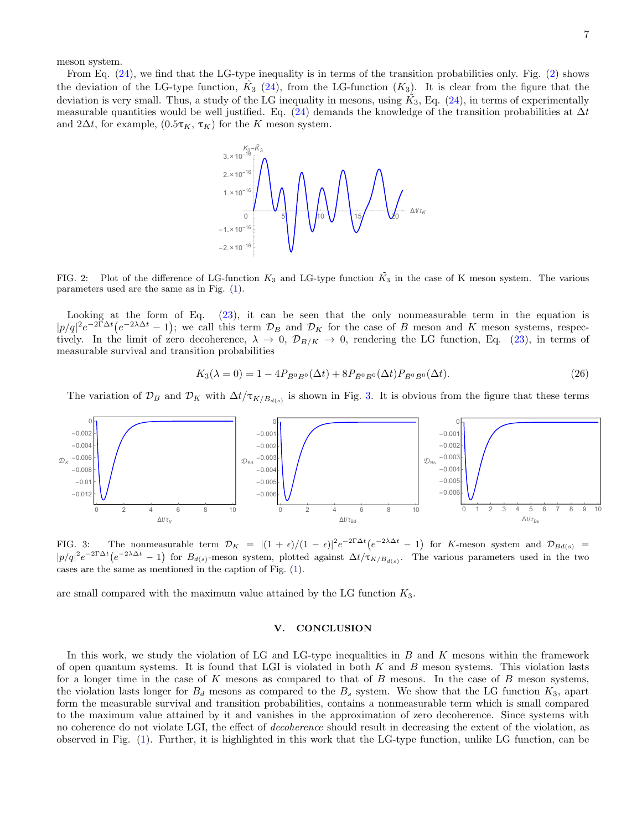meson system.

From Eq. (24), we find that the LG-type inequality is in terms of the transition probabilities only. Fig. (2) shows the deviation of the LG-type function,  $\tilde{K}_3$  (24), from the LG-function  $(K_3)$ . It is clear from the figure that the deviation is very small. Thus, a study of the LG inequality in mesons, using  $\tilde{K_3}$ , Eq. (24), in terms of experimentally measurable quantities would be well justified. Eq. (24) demands the knowledge of the transition probabilities at  $\Delta t$ and 2 $\Delta t$ , for example,  $(0.5\tau_K, \tau_K)$  for the K meson system.



FIG. 2: Plot of the difference of LG-function  $K_3$  and LG-type function  $\tilde{K_3}$  in the case of K meson system. The various parameters used are the same as in Fig. (1).

Looking at the form of Eq. (23), it can be seen that the only nonmeasurable term in the equation is  $|p/q|^2e^{-2\Gamma\Delta t}(e^{-2\lambda\Delta t}-1)$ ; we call this term  $\mathcal{D}_B$  and  $\mathcal{D}_K$  for the case of B meson and K meson systems, respectively. In the limit of zero decoherence,  $\lambda \to 0$ ,  $\mathcal{D}_{B/K} \to 0$ , rendering the LG function, Eq. (23), in terms of measurable survival and transition probabilities

$$
K_3(\lambda = 0) = 1 - 4P_{\bar{B}^0 B^0}(\Delta t) + 8P_{\bar{B}^0 B^0}(\Delta t)P_{\bar{B}^0 \bar{B}^0}(\Delta t). \tag{26}
$$

The variation of  $\mathcal{D}_B$  and  $\mathcal{D}_K$  with  $\Delta t/\tau_{K/B_{d(s)}}$  is shown in Fig. 3. It is obvious from the figure that these terms



FIG. 3: The nonmeasurable term  $\mathcal{D}_K = |(1+\epsilon)/(1-\epsilon)|^2 e^{-2\Gamma\Delta t} (e^{-2\Delta t} - 1)$  for K-meson system and  $\mathcal{D}_{Bd(s)} =$  $|p/q|^2e^{-2\Gamma\Delta t}(e^{-2\lambda\Delta t}-1)$  for  $B_{d(s)}$ -meson system, plotted against  $\Delta t/\tau_{K/B_{d(s)}}$ . The various parameters used in the two cases are the same as mentioned in the caption of Fig. (1).

are small compared with the maximum value attained by the LG function  $K_3$ .

## V. CONCLUSION

In this work, we study the violation of LG and LG-type inequalities in  $B$  and  $K$  mesons within the framework of open quantum systems. It is found that LGI is violated in both  $K$  and  $B$  meson systems. This violation lasts for a longer time in the case of  $K$  mesons as compared to that of  $B$  mesons. In the case of  $B$  meson systems, the violation lasts longer for  $B_d$  mesons as compared to the  $B_s$  system. We show that the LG function  $K_3$ , apart form the measurable survival and transition probabilities, contains a nonmeasurable term which is small compared to the maximum value attained by it and vanishes in the approximation of zero decoherence. Since systems with no coherence do not violate LGI, the effect of decoherence should result in decreasing the extent of the violation, as observed in Fig. (1). Further, it is highlighted in this work that the LG-type function, unlike LG function, can be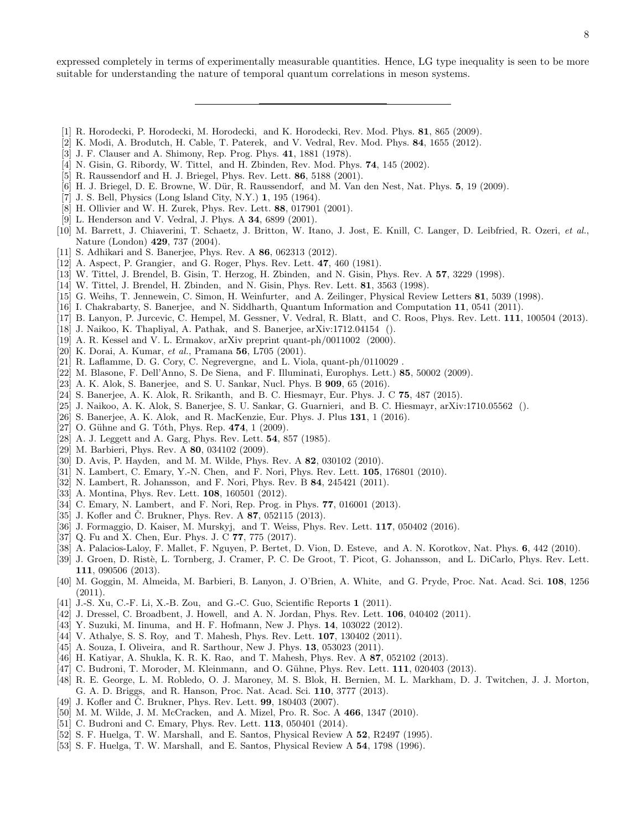expressed completely in terms of experimentally measurable quantities. Hence, LG type inequality is seen to be more suitable for understanding the nature of temporal quantum correlations in meson systems.

- [1] R. Horodecki, P. Horodecki, M. Horodecki, and K. Horodecki, Rev. Mod. Phys. 81, 865 (2009).
- [2] K. Modi, A. Brodutch, H. Cable, T. Paterek, and V. Vedral, Rev. Mod. Phys. 84, 1655 (2012).
- [3] J. F. Clauser and A. Shimony, Rep. Prog. Phys. 41, 1881 (1978).
- [4] N. Gisin, G. Ribordy, W. Tittel, and H. Zbinden, Rev. Mod. Phys. 74, 145 (2002).
- [5] R. Raussendorf and H. J. Briegel, Phys. Rev. Lett. 86, 5188 (2001).
- [6] H. J. Briegel, D. E. Browne, W. Dür, R. Raussendorf, and M. Van den Nest, Nat. Phys. 5, 19 (2009).
- [7] J. S. Bell, Physics (Long Island City, N.Y.) 1, 195 (1964).
- [8] H. Ollivier and W. H. Zurek, Phys. Rev. Lett. 88, 017901 (2001).
- [9] L. Henderson and V. Vedral, J. Phys. A 34, 6899 (2001).
- [10] M. Barrett, J. Chiaverini, T. Schaetz, J. Britton, W. Itano, J. Jost, E. Knill, C. Langer, D. Leibfried, R. Ozeri, et al., Nature (London) 429, 737 (2004).
- [11] S. Adhikari and S. Banerjee, Phys. Rev. A 86, 062313 (2012).
- [12] A. Aspect, P. Grangier, and G. Roger, Phys. Rev. Lett. 47, 460 (1981).
- [13] W. Tittel, J. Brendel, B. Gisin, T. Herzog, H. Zbinden, and N. Gisin, Phys. Rev. A 57, 3229 (1998).
- [14] W. Tittel, J. Brendel, H. Zbinden, and N. Gisin, Phys. Rev. Lett. 81, 3563 (1998).
- [15] G. Weihs, T. Jennewein, C. Simon, H. Weinfurter, and A. Zeilinger, Physical Review Letters **81**, 5039 (1998).
- [16] I. Chakrabarty, S. Banerjee, and N. Siddharth, Quantum Information and Computation 11, 0541 (2011).
- [17] B. Lanyon, P. Jurcevic, C. Hempel, M. Gessner, V. Vedral, R. Blatt, and C. Roos, Phys. Rev. Lett. 111, 100504 (2013).
- [18] J. Naikoo, K. Thapliyal, A. Pathak, and S. Banerjee, arXiv:1712.04154 ().
- [19] A. R. Kessel and V. L. Ermakov, arXiv preprint quant-ph/0011002 (2000).
- [20] K. Dorai, A. Kumar, et al., Pramana 56, L705 (2001).
- [21] R. Laflamme, D. G. Cory, C. Negrevergne, and L. Viola, quant-ph/0110029 .
- [22] M. Blasone, F. Dell'Anno, S. De Siena, and F. Illuminati, Europhys. Lett.) 85, 50002 (2009).
- [23] A. K. Alok, S. Banerjee, and S. U. Sankar, Nucl. Phys. B **909**, 65 (2016).
- [24] S. Banerjee, A. K. Alok, R. Srikanth, and B. C. Hiesmayr, Eur. Phys. J. C 75, 487 (2015).
- [25] J. Naikoo, A. K. Alok, S. Banerjee, S. U. Sankar, G. Guarnieri, and B. C. Hiesmayr, arXiv:1710.05562 ().
- [26] S. Banerjee, A. K. Alok, and R. MacKenzie, Eur. Phys. J. Plus 131, 1 (2016).
- [27] O. Gühne and G. Tóth, Phys. Rep.  $474$ , 1 (2009).
- [28] A. J. Leggett and A. Garg, Phys. Rev. Lett. 54, 857 (1985).
- [29] M. Barbieri, Phys. Rev. A 80, 034102 (2009).
- [30] D. Avis, P. Hayden, and M. M. Wilde, Phys. Rev. A **82**, 030102 (2010).
- [31] N. Lambert, C. Emary, Y.-N. Chen, and F. Nori, Phys. Rev. Lett. **105**, 176801 (2010).
- [32] N. Lambert, R. Johansson, and F. Nori, Phys. Rev. B 84, 245421 (2011).
- [33] A. Montina, Phys. Rev. Lett. **108**, 160501 (2012).
- [34] C. Emary, N. Lambert, and F. Nori, Rep. Prog. in Phys. 77, 016001 (2013).
- [35] J. Kofler and C. Brukner, Phys. Rev. A  $87$ , 052115 (2013).
- [36] J. Formaggio, D. Kaiser, M. Murskyj, and T. Weiss, Phys. Rev. Lett. 117, 050402 (2016).
- [37] Q. Fu and X. Chen, Eur. Phys. J. C 77, 775 (2017).
- [38] A. Palacios-Laloy, F. Mallet, F. Nguyen, P. Bertet, D. Vion, D. Esteve, and A. N. Korotkov, Nat. Phys. 6, 442 (2010).
- [39] J. Groen, D. Ristè, L. Tornberg, J. Cramer, P. C. De Groot, T. Picot, G. Johansson, and L. DiCarlo, Phys. Rev. Lett. 111, 090506 (2013).
- [40] M. Goggin, M. Almeida, M. Barbieri, B. Lanyon, J. O'Brien, A. White, and G. Pryde, Proc. Nat. Acad. Sci. 108, 1256  $(2011).$
- [41] J.-S. Xu, C.-F. Li, X.-B. Zou, and G.-C. Guo, Scientific Reports 1 (2011).
- [42] J. Dressel, C. Broadbent, J. Howell, and A. N. Jordan, Phys. Rev. Lett. **106**, 040402 (2011).
- [43] Y. Suzuki, M. Iinuma, and H. F. Hofmann, New J. Phys. 14, 103022 (2012).
- [44] V. Athalye, S. S. Roy, and T. Mahesh, Phys. Rev. Lett. 107, 130402 (2011).
- [45] A. Souza, I. Oliveira, and R. Sarthour, New J. Phys. 13, 053023 (2011).
- [46] H. Katiyar, A. Shukla, K. R. K. Rao, and T. Mahesh, Phys. Rev. A 87, 052102 (2013).
- [47] C. Budroni, T. Moroder, M. Kleinmann, and O. Gühne, Phys. Rev. Lett. 111, 020403 (2013).
- [48] R. E. George, L. M. Robledo, O. J. Maroney, M. S. Blok, H. Bernien, M. L. Markham, D. J. Twitchen, J. J. Morton, G. A. D. Briggs, and R. Hanson, Proc. Nat. Acad. Sci. 110, 3777 (2013).
- [49] J. Kofler and C. Brukner, Phys. Rev. Lett.  $99, 180403$  (2007).
- [50] M. M. Wilde, J. M. McCracken, and A. Mizel, Pro. R. Soc. A 466, 1347 (2010).
- [51] C. Budroni and C. Emary, Phys. Rev. Lett. **113**, 050401 (2014).
- [52] S. F. Huelga, T. W. Marshall, and E. Santos, Physical Review A 52, R2497 (1995).
- [53] S. F. Huelga, T. W. Marshall, and E. Santos, Physical Review A 54, 1798 (1996).